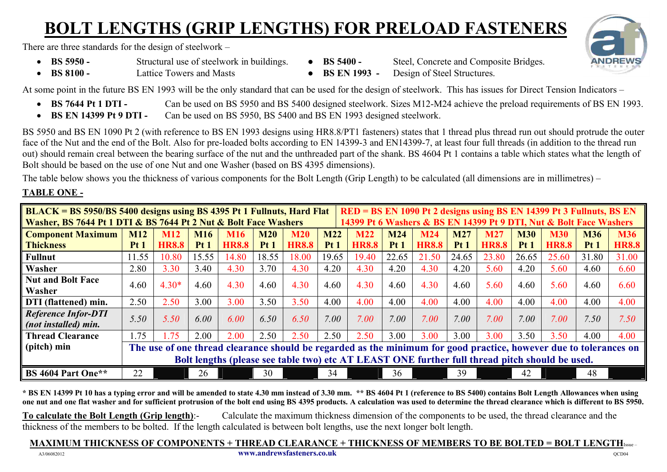## **BOLT LENGTHS (GRIP LENGTHS) FOR PRELOAD FASTENERS**

There are three standards for the design of steelwork –

- **BS 5950 -** Structural use of steelwork in buildings. **BS 5400 -** Steel, Concrete and Composite Bridges.
- -
- **BS 8100 -** Lattice Towers and Masts **BS EN 1993 -** Design of Steel Structures.
- 

At some point in the future BS EN 1993 will be the only standard that can be used for the design of steelwork. This has issues for Direct Tension Indicators –

- **BS 7644 Pt 1 DTI -** Can be used on BS 5950 and BS 5400 designed steelwork. Sizes M12-M24 achieve the preload requirements of BS EN 1993.
- **BS EN 14399 Pt 9 DTI -** Can be used on BS 5950, BS 5400 and BS EN 1993 designed steelwork.

BS 5950 and BS EN 1090 Pt 2 (with reference to BS EN 1993 designs using HR8.8/PT1 fasteners) states that 1 thread plus thread run out should protrude the outer face of the Nut and the end of the Bolt. Also for pre-loaded bolts according to EN 14399-3 and EN14399-7, at least four full threads (in addition to the thread run out) should remain creal between the bearing surface of the nut and the unthreaded part of the shank. BS 4604 Pt 1 contains a table which states what the length of Bolt should be based on the use of one Nut and one Washer (based on BS 4395 dimensions).

The table below shows you the thickness of various components for the Bolt Length (Grip Length) to be calculated (all dimensions are in millimetres) –

### **TABLE ONE -**

| RED = BS EN 1090 Pt 2 designs using BS EN 14399 Pt 3 Fullnuts, BS EN<br><b>BLACK = BS 5950/BS 5400 designs using BS 4395 Pt 1 Fullnuts, Hard Flat</b> |                 |              |            |              |            |              |            |              |            |              |            |              |            |              |            |              |
|-------------------------------------------------------------------------------------------------------------------------------------------------------|-----------------|--------------|------------|--------------|------------|--------------|------------|--------------|------------|--------------|------------|--------------|------------|--------------|------------|--------------|
| Washer, BS 7644 Pt 1 DTI & BS 7644 Pt 2 Nut & Bolt Face Washers<br>14399 Pt 6 Washers & BS EN 14399 Pt 9 DTI, Nut & Bolt Face Washers                 |                 |              |            |              |            |              |            |              |            |              |            |              |            |              |            |              |
| <b>Component Maximum</b>                                                                                                                              | <b>M12</b>      | <b>M12</b>   | <b>M16</b> | <b>M16</b>   | <b>M20</b> | <b>M20</b>   | <b>M22</b> | <b>M22</b>   | <b>M24</b> | <b>M24</b>   | <b>M27</b> | <b>M27</b>   | <b>M30</b> | <b>M30</b>   | <b>M36</b> | <b>M36</b>   |
| <b>Thickness</b>                                                                                                                                      | Pt <sub>1</sub> | <b>HR8.8</b> | Pt1        | <b>HR8.8</b> | Pt1        | <b>HR8.8</b> | Pt1        | <b>HR8.8</b> | Pt1        | <b>HR8.8</b> | Pt1        | <b>HR8.8</b> | Pt1        | <b>HR8.8</b> | Pt1        | <b>HR8.8</b> |
| <b>Fullnut</b>                                                                                                                                        | 11.55           | 10.80        | 15.55      | 14.80        | 18.55      | 18.00        | 19.65      | 19.40        | 22.65      | 21.50        | 24.65      | 23.80        | 26.65      | 25.60        | 31.80      | 31.00        |
| Washer                                                                                                                                                | 2.80            | 3.30         | 3.40       | 4.30         | 3.70       | 4.30         | 4.20       | 4.30         | 4.20       | 4.30         | 4.20       | 5.60         | 4.20       | 5.60         | 4.60       | 6.60         |
| <b>Nut and Bolt Face</b>                                                                                                                              | 4.60            | $4.30*$      | 4.60       | 4.30         | 4.60       | 4.30         | 4.60       | 4.30         | 4.60       | 4.30         | 4.60       | 5.60         | 4.60       | 5.60         | 4.60       | 6.60         |
| Washer                                                                                                                                                |                 |              |            |              |            |              |            |              |            |              |            |              |            |              |            |              |
| DTI (flattened) min.                                                                                                                                  | 2.50            | 2.50         | 3.00       | 3.00         | 3.50       | 3.50         | 4.00       | 4.00         | 4.00       | 4.00         | 4.00       | 4.00         | 4.00       | 4.00         | 4.00       | 4.00         |
| <b>Reference Infor-DTI</b>                                                                                                                            | 5.50            | 5.50         | 6.00       | 6.00         | 6.50       | 6.50         | 7.00       | 7.00         | 7.00       | 7.00         | 7.00       | 7.00         | 7.00       | 7.00         | 7.50       | 7.50         |
| (not installed) min.                                                                                                                                  |                 |              |            |              |            |              |            |              |            |              |            |              |            |              |            |              |
| <b>Thread Clearance</b>                                                                                                                               | 1.75            | $\sqrt{75}$  | 2.00       | 2.00         | 2.50       | 2.50         | 2.50       | 2.50         | 3.00       | 3.00         | 3.00       | 3.00         | 3.50       | 3.50         | 4.00       | 4.00         |
| (pitch) min<br>The use of one thread clearance should be regarded as the minimum for good practice, however due to tolerances on                      |                 |              |            |              |            |              |            |              |            |              |            |              |            |              |            |              |
| Bolt lengths (please see table two) etc AT LEAST ONE further full thread pitch should be used.                                                        |                 |              |            |              |            |              |            |              |            |              |            |              |            |              |            |              |
| BS 4604 Part One**                                                                                                                                    | 22              |              | 26         |              | 30         |              | 34         |              | 36         |              | 39         |              | 42         |              | 48         |              |

**\* BS EN 14399 Pt 10 has a typing error and will be amended to state 4.30 mm instead of 3.30 mm. \*\* BS 4604 Pt 1 (reference to BS 5400) contains Bolt Length Allowances when using one nut and one flat washer and for sufficient protrusion of the bolt end using BS 4395 products. A calculation was used to determine the thread clearance which is different to BS 5950.**

**To calculate the Bolt Length (Grip length)**:- Calculate the maximum thickness dimension of the components to be used, the thread clearance and the thickness of the members to be bolted. If the length calculated is between bolt lengths, use the next longer bolt length.

#### **MAXIMUM THICKNESS OF COMPONENTS + THREAD CLEARANCE + THICKNESS OF MEMBERS TO BE BOLTED = BOLT LENGTH**Issue –